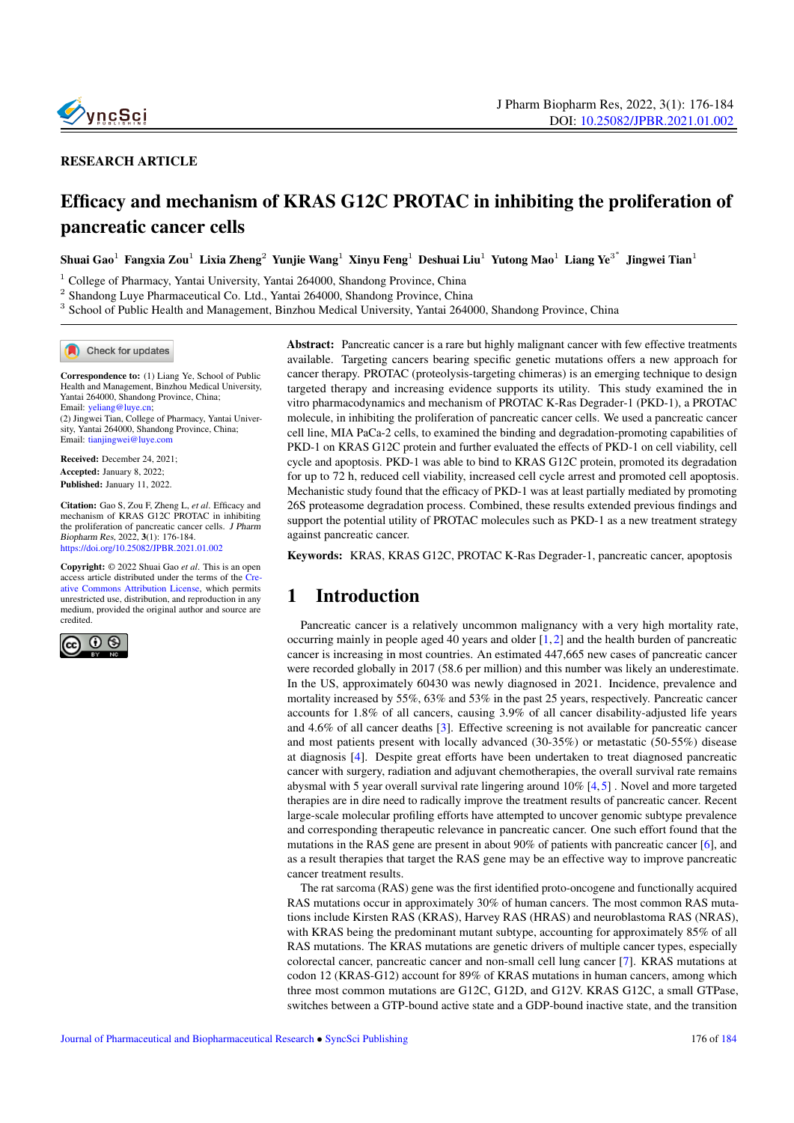

#### RESEARCH ARTICLE

# Efficacy and mechanism of KRAS G12C PROTAC in inhibiting the proliferation of pancreatic cancer cells

Shuai Gao $^1$  Fangxia Zou $^1$  Lixia Zheng $^2$  Yunjie Wang $^1$  Xinyu Feng $^1$  Deshuai Liu $^1$  Yutong Mao $^1$  Liang Ye $^{3^\ast}$  Jingwei Tian $^1$ 

<sup>1</sup> College of Pharmacy, Yantai University, Yantai 264000, Shandong Province, China

<sup>2</sup> Shandong Luye Pharmaceutical Co. Ltd., Yantai 264000, Shandong Province, China

<sup>3</sup> School of Public Health and Management, Binzhou Medical University, Yantai 264000, Shandong Province, China

Check for updates

Correspondence to: (1) Liang Ye, School of Public Health and Management, Binzhou Medical University, Yantai 264000, Shandong Province, China; Email: [yeliang@luye.cn;](yeliang@luye.cn)

(2) Jingwei Tian, College of Pharmacy, Yantai University, Yantai 264000, Shandong Province, China; Email: <tianjingwei@luye.com>

Received: December 24, 2021; Accepted: January 8, 2022; Published: January 11, 2022.

Citation: Gao S, Zou F, Zheng L, *et al*. Efficacy and mechanism of KRAS G12C PROTAC in inhibiting the proliferation of pancreatic cancer cells. J Pharm Biopharm Res, 2022, 3(1): 176-184. <https://doi.org/10.25082/JPBR.2021.01.002>

Copyright: © 2022 Shuai Gao *et al*. This is an open access article distributed under the terms of the [Cre](https://creativecommons.org/licenses/by/4.0/)[ative Commons Attribution License,](https://creativecommons.org/licenses/by/4.0/) which permits unrestricted use, distribution, and reproduction in any medium, provided the original author and source are credited.



Abstract: Pancreatic cancer is a rare but highly malignant cancer with few effective treatments available. Targeting cancers bearing specific genetic mutations offers a new approach for cancer therapy. PROTAC (proteolysis-targeting chimeras) is an emerging technique to design targeted therapy and increasing evidence supports its utility. This study examined the in vitro pharmacodynamics and mechanism of PROTAC K-Ras Degrader-1 (PKD-1), a PROTAC molecule, in inhibiting the proliferation of pancreatic cancer cells. We used a pancreatic cancer cell line, MIA PaCa-2 cells, to examined the binding and degradation-promoting capabilities of PKD-1 on KRAS G12C protein and further evaluated the effects of PKD-1 on cell viability, cell cycle and apoptosis. PKD-1 was able to bind to KRAS G12C protein, promoted its degradation for up to 72 h, reduced cell viability, increased cell cycle arrest and promoted cell apoptosis. Mechanistic study found that the efficacy of PKD-1 was at least partially mediated by promoting 26S proteasome degradation process. Combined, these results extended previous findings and support the potential utility of PROTAC molecules such as PKD-1 as a new treatment strategy against pancreatic cancer.

Keywords: KRAS, KRAS G12C, PROTAC K-Ras Degrader-1, pancreatic cancer, apoptosis

## 1 Introduction

Pancreatic cancer is a relatively uncommon malignancy with a very high mortality rate, occurring mainly in people aged 40 years and older  $[1, 2]$  $[1, 2]$  $[1, 2]$  and the health burden of pancreatic cancer is increasing in most countries. An estimated 447,665 new cases of pancreatic cancer were recorded globally in 2017 (58.6 per million) and this number was likely an underestimate. In the US, approximately 60430 was newly diagnosed in 2021. Incidence, prevalence and mortality increased by 55%, 63% and 53% in the past 25 years, respectively. Pancreatic cancer accounts for 1.8% of all cancers, causing 3.9% of all cancer disability-adjusted life years and 4.6% of all cancer deaths [\[3\]](#page-8-2). Effective screening is not available for pancreatic cancer and most patients present with locally advanced (30-35%) or metastatic (50-55%) disease at diagnosis [\[4\]](#page-8-3). Despite great efforts have been undertaken to treat diagnosed pancreatic cancer with surgery, radiation and adjuvant chemotherapies, the overall survival rate remains abysmal with 5 year overall survival rate lingering around  $10\%$  [\[4,](#page-8-3) [5\]](#page-8-4). Novel and more targeted therapies are in dire need to radically improve the treatment results of pancreatic cancer. Recent large-scale molecular profiling efforts have attempted to uncover genomic subtype prevalence and corresponding therapeutic relevance in pancreatic cancer. One such effort found that the mutations in the RAS gene are present in about 90% of patients with pancreatic cancer [\[6\]](#page-8-5), and as a result therapies that target the RAS gene may be an effective way to improve pancreatic cancer treatment results.

The rat sarcoma (RAS) gene was the first identified proto-oncogene and functionally acquired RAS mutations occur in approximately 30% of human cancers. The most common RAS mutations include Kirsten RAS (KRAS), Harvey RAS (HRAS) and neuroblastoma RAS (NRAS), with KRAS being the predominant mutant subtype, accounting for approximately 85% of all RAS mutations. The KRAS mutations are genetic drivers of multiple cancer types, especially colorectal cancer, pancreatic cancer and non-small cell lung cancer [\[7\]](#page-8-6). KRAS mutations at codon 12 (KRAS-G12) account for 89% of KRAS mutations in human cancers, among which three most common mutations are G12C, G12D, and G12V. KRAS G12C, a small GTPase, switches between a GTP-bound active state and a GDP-bound inactive state, and the transition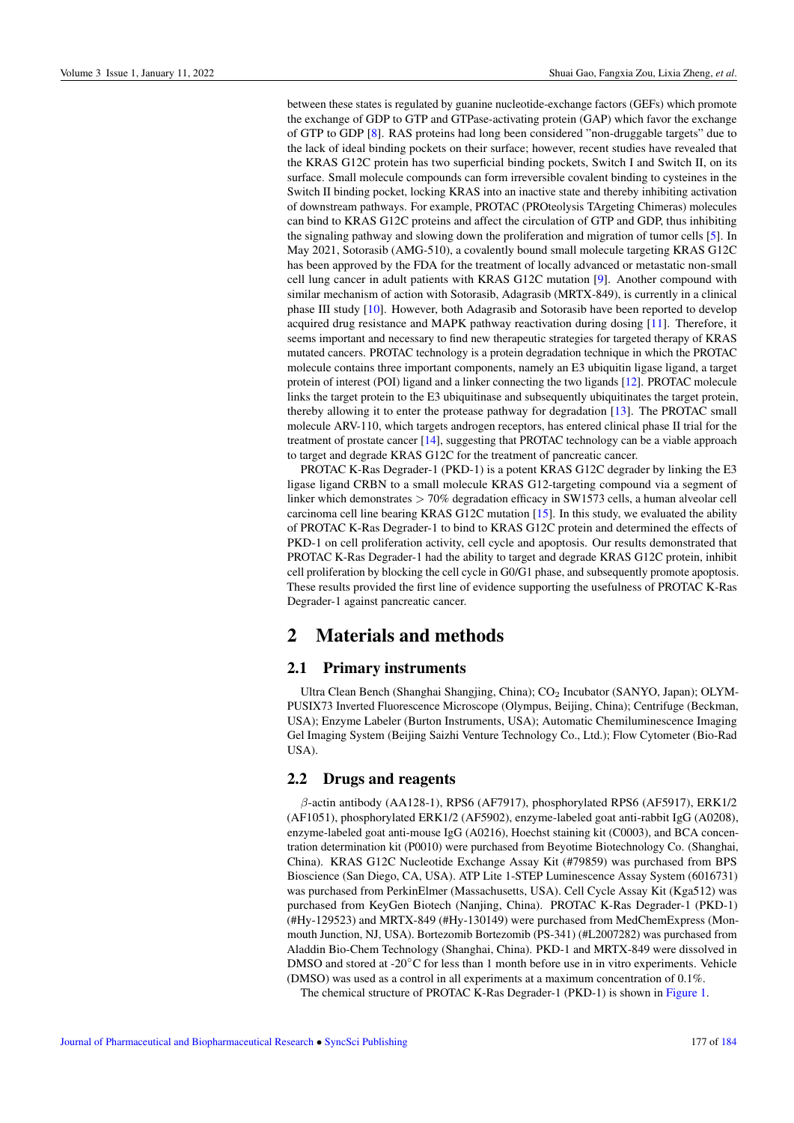between these states is regulated by guanine nucleotide-exchange factors (GEFs) which promote the exchange of GDP to GTP and GTPase-activating protein (GAP) which favor the exchange of GTP to GDP [\[8\]](#page-8-8). RAS proteins had long been considered "non-druggable targets" due to the lack of ideal binding pockets on their surface; however, recent studies have revealed that the KRAS G12C protein has two superficial binding pockets, Switch I and Switch II, on its surface. Small molecule compounds can form irreversible covalent binding to cysteines in the Switch II binding pocket, locking KRAS into an inactive state and thereby inhibiting activation of downstream pathways. For example, PROTAC (PROteolysis TArgeting Chimeras) molecules can bind to KRAS G12C proteins and affect the circulation of GTP and GDP, thus inhibiting the signaling pathway and slowing down the proliferation and migration of tumor cells [\[5\]](#page-8-4). In May 2021, Sotorasib (AMG-510), a covalently bound small molecule targeting KRAS G12C has been approved by the FDA for the treatment of locally advanced or metastatic non-small cell lung cancer in adult patients with KRAS G12C mutation [\[9\]](#page-8-9). Another compound with similar mechanism of action with Sotorasib, Adagrasib (MRTX-849), is currently in a clinical phase III study [\[10\]](#page-8-10). However, both Adagrasib and Sotorasib have been reported to develop acquired drug resistance and MAPK pathway reactivation during dosing [\[11\]](#page-8-11). Therefore, it seems important and necessary to find new therapeutic strategies for targeted therapy of KRAS mutated cancers. PROTAC technology is a protein degradation technique in which the PROTAC molecule contains three important components, namely an E3 ubiquitin ligase ligand, a target protein of interest (POI) ligand and a linker connecting the two ligands [\[12\]](#page-8-12). PROTAC molecule links the target protein to the E3 ubiquitinase and subsequently ubiquitinates the target protein, thereby allowing it to enter the protease pathway for degradation [\[13\]](#page-8-13). The PROTAC small molecule ARV-110, which targets androgen receptors, has entered clinical phase II trial for the treatment of prostate cancer [\[14\]](#page-8-14), suggesting that PROTAC technology can be a viable approach to target and degrade KRAS G12C for the treatment of pancreatic cancer.

PROTAC K-Ras Degrader-1 (PKD-1) is a potent KRAS G12C degrader by linking the E3 ligase ligand CRBN to a small molecule KRAS G12-targeting compound via a segment of linker which demonstrates > 70% degradation efficacy in SW1573 cells, a human alveolar cell carcinoma cell line bearing KRAS G12C mutation [\[15\]](#page-8-15). In this study, we evaluated the ability of PROTAC K-Ras Degrader-1 to bind to KRAS G12C protein and determined the effects of PKD-1 on cell proliferation activity, cell cycle and apoptosis. Our results demonstrated that PROTAC K-Ras Degrader-1 had the ability to target and degrade KRAS G12C protein, inhibit cell proliferation by blocking the cell cycle in G0/G1 phase, and subsequently promote apoptosis. These results provided the first line of evidence supporting the usefulness of PROTAC K-Ras Degrader-1 against pancreatic cancer.

## 2 Materials and methods

### 2.1 Primary instruments

Ultra Clean Bench (Shanghai Shangjing, China); CO<sup>2</sup> Incubator (SANYO, Japan); OLYM-PUSIX73 Inverted Fluorescence Microscope (Olympus, Beijing, China); Centrifuge (Beckman, USA); Enzyme Labeler (Burton Instruments, USA); Automatic Chemiluminescence Imaging Gel Imaging System (Beijing Saizhi Venture Technology Co., Ltd.); Flow Cytometer (Bio-Rad USA).

### 2.2 Drugs and reagents

β-actin antibody (AA128-1), RPS6 (AF7917), phosphorylated RPS6 (AF5917), ERK1/2 (AF1051), phosphorylated ERK1/2 (AF5902), enzyme-labeled goat anti-rabbit IgG (A0208), enzyme-labeled goat anti-mouse IgG (A0216), Hoechst staining kit (C0003), and BCA concentration determination kit (P0010) were purchased from Beyotime Biotechnology Co. (Shanghai, China). KRAS G12C Nucleotide Exchange Assay Kit (#79859) was purchased from BPS Bioscience (San Diego, CA, USA). ATP Lite 1-STEP Luminescence Assay System (6016731) was purchased from PerkinElmer (Massachusetts, USA). Cell Cycle Assay Kit (Kga512) was purchased from KeyGen Biotech (Nanjing, China). PROTAC K-Ras Degrader-1 (PKD-1) (#Hy-129523) and MRTX-849 (#Hy-130149) were purchased from MedChemExpress (Monmouth Junction, NJ, USA). Bortezomib Bortezomib (PS-341) (#L2007282) was purchased from Aladdin Bio-Chem Technology (Shanghai, China). PKD-1 and MRTX-849 were dissolved in DMSO and stored at -20<sup>°</sup>C for less than 1 month before use in in vitro experiments. Vehicle (DMSO) was used as a control in all experiments at a maximum concentration of 0.1%.

The chemical structure of PROTAC K-Ras Degrader-1 (PKD-1) is shown in [Figure 1.](#page-2-0)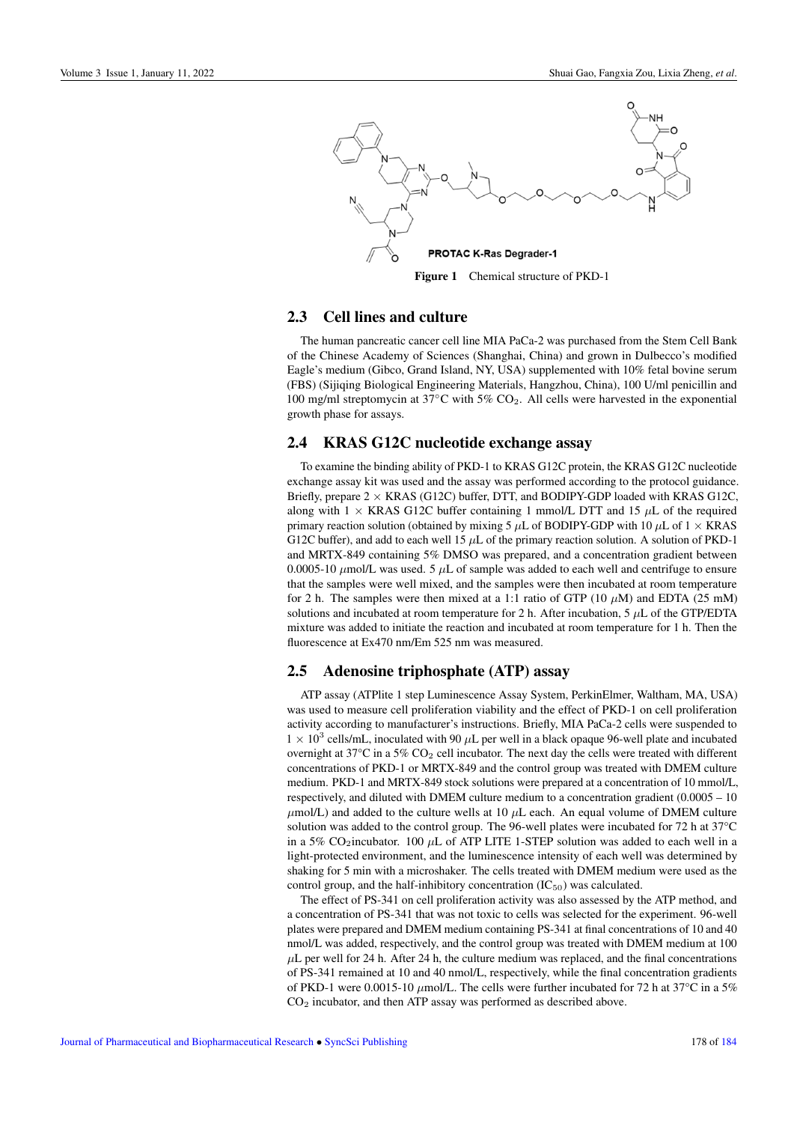<span id="page-2-0"></span>

Figure 1 Chemical structure of PKD-1

### 2.3 Cell lines and culture

The human pancreatic cancer cell line MIA PaCa-2 was purchased from the Stem Cell Bank of the Chinese Academy of Sciences (Shanghai, China) and grown in Dulbecco's modified Eagle's medium (Gibco, Grand Island, NY, USA) supplemented with 10% fetal bovine serum (FBS) (Sijiqing Biological Engineering Materials, Hangzhou, China), 100 U/ml penicillin and 100 mg/ml streptomycin at  $37^{\circ}$ C with  $5\%$  CO<sub>2</sub>. All cells were harvested in the exponential growth phase for assays.

#### 2.4 KRAS G12C nucleotide exchange assay

To examine the binding ability of PKD-1 to KRAS G12C protein, the KRAS G12C nucleotide exchange assay kit was used and the assay was performed according to the protocol guidance. Briefly, prepare  $2 \times$  KRAS (G12C) buffer, DTT, and BODIPY-GDP loaded with KRAS G12C, along with  $1 \times$  KRAS G12C buffer containing 1 mmol/L DTT and 15  $\mu$ L of the required primary reaction solution (obtained by mixing 5  $\mu$ L of BODIPY-GDP with 10  $\mu$ L of 1  $\times$  KRAS G12C buffer), and add to each well 15  $\mu$ L of the primary reaction solution. A solution of PKD-1 and MRTX-849 containing 5% DMSO was prepared, and a concentration gradient between 0.0005-10  $\mu$ mol/L was used. 5  $\mu$ L of sample was added to each well and centrifuge to ensure that the samples were well mixed, and the samples were then incubated at room temperature for 2 h. The samples were then mixed at a 1:1 ratio of GTP (10  $\mu$ M) and EDTA (25 mM) solutions and incubated at room temperature for 2 h. After incubation, 5  $\mu$ L of the GTP/EDTA mixture was added to initiate the reaction and incubated at room temperature for 1 h. Then the fluorescence at Ex470 nm/Em 525 nm was measured.

### 2.5 Adenosine triphosphate (ATP) assay

ATP assay (ATPlite 1 step Luminescence Assay System, PerkinElmer, Waltham, MA, USA) was used to measure cell proliferation viability and the effect of PKD-1 on cell proliferation activity according to manufacturer's instructions. Briefly, MIA PaCa-2 cells were suspended to  $1 \times 10^3$  cells/mL, inoculated with 90  $\mu$ L per well in a black opaque 96-well plate and incubated overnight at 37°C in a 5% CO<sup>2</sup> cell incubator. The next day the cells were treated with different concentrations of PKD-1 or MRTX-849 and the control group was treated with DMEM culture medium. PKD-1 and MRTX-849 stock solutions were prepared at a concentration of 10 mmol/L, respectively, and diluted with DMEM culture medium to a concentration gradient (0.0005 – 10  $\mu$ mol/L) and added to the culture wells at 10  $\mu$ L each. An equal volume of DMEM culture solution was added to the control group. The 96-well plates were incubated for 72 h at 37°C in a 5% CO<sub>2</sub>incubator. 100  $\mu$ L of ATP LITE 1-STEP solution was added to each well in a light-protected environment, and the luminescence intensity of each well was determined by shaking for 5 min with a microshaker. The cells treated with DMEM medium were used as the control group, and the half-inhibitory concentration  $(IC_{50})$  was calculated.

The effect of PS-341 on cell proliferation activity was also assessed by the ATP method, and a concentration of PS-341 that was not toxic to cells was selected for the experiment. 96-well plates were prepared and DMEM medium containing PS-341 at final concentrations of 10 and 40 nmol/L was added, respectively, and the control group was treated with DMEM medium at 100  $\mu$ L per well for 24 h. After 24 h, the culture medium was replaced, and the final concentrations of PS-341 remained at 10 and 40 nmol/L, respectively, while the final concentration gradients of PKD-1 were 0.0015-10  $\mu$ mol/L. The cells were further incubated for 72 h at 37°C in a 5%  $CO<sub>2</sub>$  incubator, and then ATP assay was performed as described above.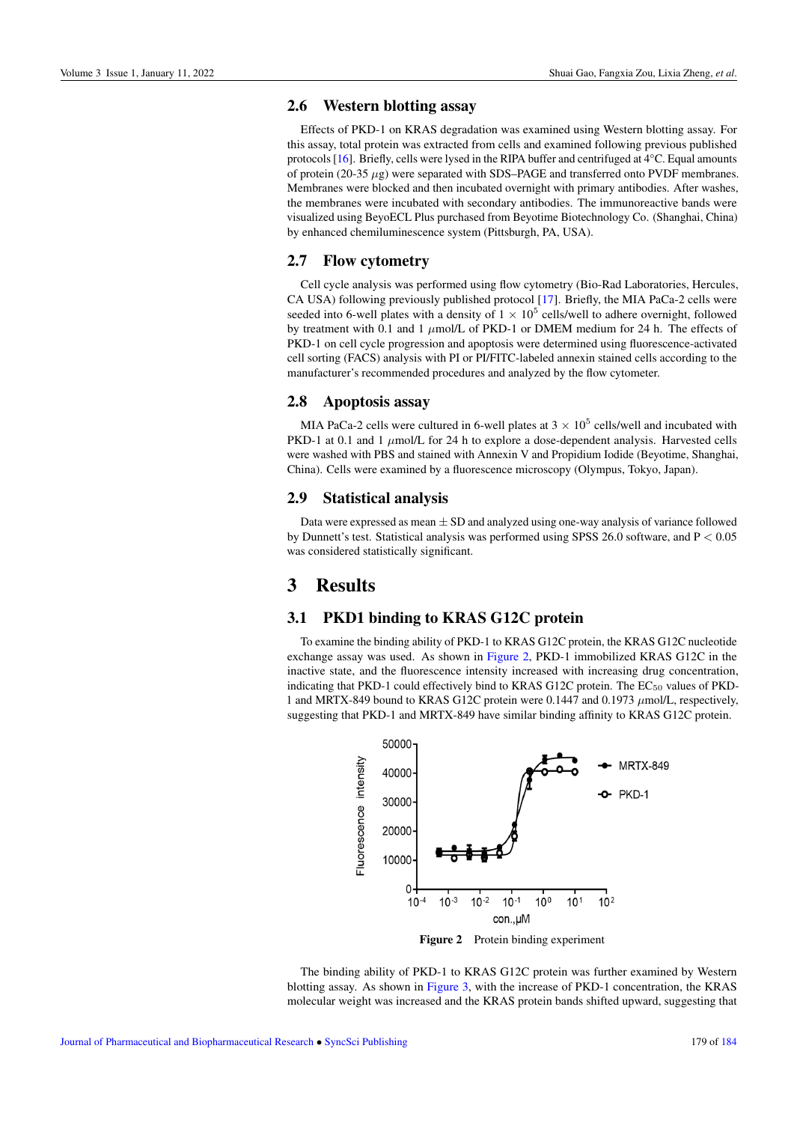### 2.6 Western blotting assay

Effects of PKD-1 on KRAS degradation was examined using Western blotting assay. For this assay, total protein was extracted from cells and examined following previous published protocols [\[16\]](#page-8-16). Briefly, cells were lysed in the RIPA buffer and centrifuged at 4°C. Equal amounts of protein (20-35  $\mu$ g) were separated with SDS–PAGE and transferred onto PVDF membranes. Membranes were blocked and then incubated overnight with primary antibodies. After washes, the membranes were incubated with secondary antibodies. The immunoreactive bands were visualized using BeyoECL Plus purchased from Beyotime Biotechnology Co. (Shanghai, China) by enhanced chemiluminescence system (Pittsburgh, PA, USA).

### 2.7 Flow cytometry

Cell cycle analysis was performed using flow cytometry (Bio-Rad Laboratories, Hercules, CA USA) following previously published protocol [\[17\]](#page-8-17). Briefly, the MIA PaCa-2 cells were seeded into 6-well plates with a density of  $1 \times 10^5$  cells/well to adhere overnight, followed by treatment with 0.1 and 1  $\mu$ mol/L of PKD-1 or DMEM medium for 24 h. The effects of PKD-1 on cell cycle progression and apoptosis were determined using fluorescence-activated cell sorting (FACS) analysis with PI or PI/FITC-labeled annexin stained cells according to the manufacturer's recommended procedures and analyzed by the flow cytometer.

### 2.8 Apoptosis assay

MIA PaCa-2 cells were cultured in 6-well plates at  $3 \times 10^5$  cells/well and incubated with PKD-1 at 0.1 and 1  $\mu$ mol/L for 24 h to explore a dose-dependent analysis. Harvested cells were washed with PBS and stained with Annexin V and Propidium Iodide (Beyotime, Shanghai, China). Cells were examined by a fluorescence microscopy (Olympus, Tokyo, Japan).

### 2.9 Statistical analysis

Data were expressed as mean  $\pm$  SD and analyzed using one-way analysis of variance followed by Dunnett's test. Statistical analysis was performed using SPSS 26.0 software, and P < 0.05 was considered statistically significant.

## 3 Results

### 3.1 PKD1 binding to KRAS G12C protein

To examine the binding ability of PKD-1 to KRAS G12C protein, the KRAS G12C nucleotide exchange assay was used. As shown in [Figure 2,](#page-3-0) PKD-1 immobilized KRAS G12C in the inactive state, and the fluorescence intensity increased with increasing drug concentration, indicating that PKD-1 could effectively bind to KRAS G12C protein. The  $EC_{50}$  values of PKD-1 and MRTX-849 bound to KRAS G12C protein were 0.1447 and 0.1973  $\mu$ mol/L, respectively, suggesting that PKD-1 and MRTX-849 have similar binding affinity to KRAS G12C protein.

<span id="page-3-0"></span>

Figure 2 Protein binding experiment

The binding ability of PKD-1 to KRAS G12C protein was further examined by Western blotting assay. As shown in [Figure 3,](#page-4-0) with the increase of PKD-1 concentration, the KRAS molecular weight was increased and the KRAS protein bands shifted upward, suggesting that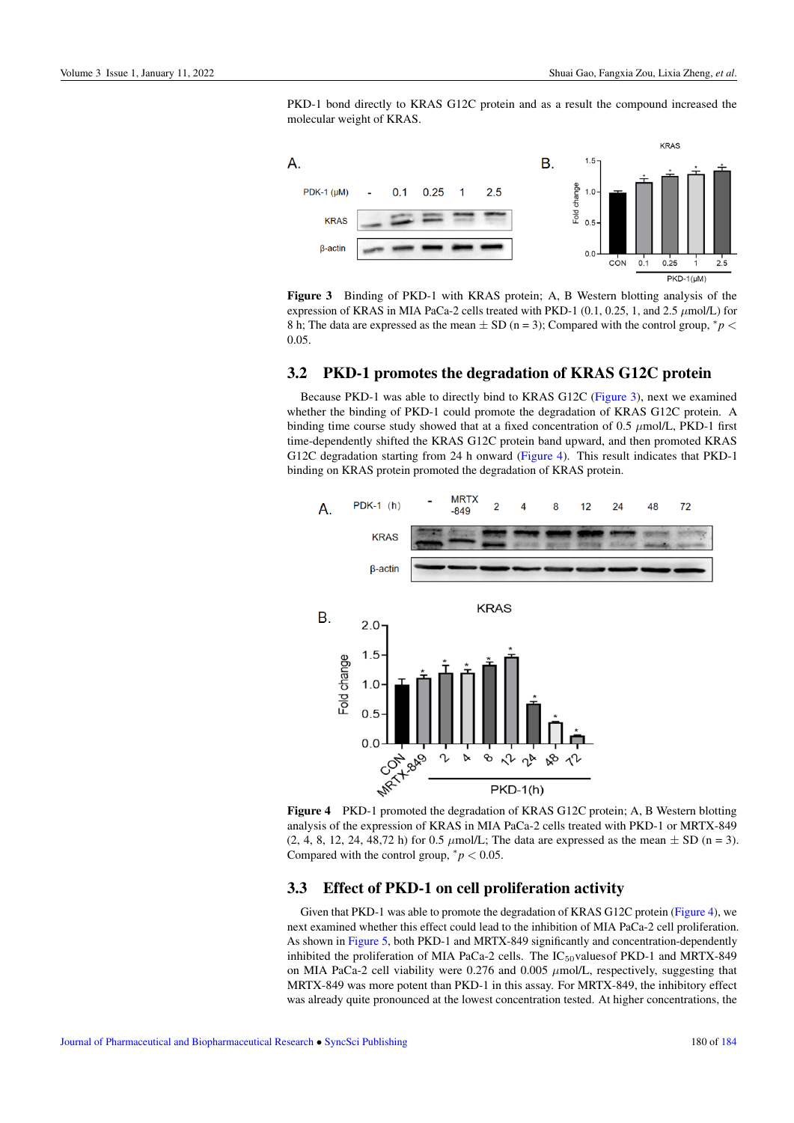PKD-1 bond directly to KRAS G12C protein and as a result the compound increased the molecular weight of KRAS.

<span id="page-4-0"></span>

Figure 3 Binding of PKD-1 with KRAS protein; A, B Western blotting analysis of the expression of KRAS in MIA PaCa-2 cells treated with PKD-1 (0.1, 0.25, 1, and 2.5  $\mu$ mol/L) for 8 h; The data are expressed as the mean  $\pm$  SD (n = 3); Compared with the control group,  $^*p$  < 0.05.

### 3.2 PKD-1 promotes the degradation of KRAS G12C protein

Because PKD-1 was able to directly bind to KRAS G12C [\(Figure 3\)](#page-4-0), next we examined whether the binding of PKD-1 could promote the degradation of KRAS G12C protein. A binding time course study showed that at a fixed concentration of 0.5 µmol/L, PKD-1 first time-dependently shifted the KRAS G12C protein band upward, and then promoted KRAS G12C degradation starting from 24 h onward [\(Figure 4\)](#page-4-1). This result indicates that PKD-1 binding on KRAS protein promoted the degradation of KRAS protein.

<span id="page-4-1"></span>

Figure 4 PKD-1 promoted the degradation of KRAS G12C protein; A, B Western blotting analysis of the expression of KRAS in MIA PaCa-2 cells treated with PKD-1 or MRTX-849  $(2, 4, 8, 12, 24, 48, 72 \text{ h})$  for 0.5  $\mu$ mol/L; The data are expressed as the mean  $\pm$  SD (n = 3). Compared with the control group,  $^*p < 0.05$ .

### 3.3 Effect of PKD-1 on cell proliferation activity

Given that PKD-1 was able to promote the degradation of KRAS G12C protein [\(Figure 4\)](#page-4-1), we next examined whether this effect could lead to the inhibition of MIA PaCa-2 cell proliferation. As shown in [Figure 5,](#page-5-0) both PKD-1 and MRTX-849 significantly and concentration-dependently inhibited the proliferation of MIA PaCa-2 cells. The  $IC_{50}$ values of PKD-1 and MRTX-849 on MIA PaCa-2 cell viability were 0.276 and 0.005  $\mu$ mol/L, respectively, suggesting that MRTX-849 was more potent than PKD-1 in this assay. For MRTX-849, the inhibitory effect was already quite pronounced at the lowest concentration tested. At higher concentrations, the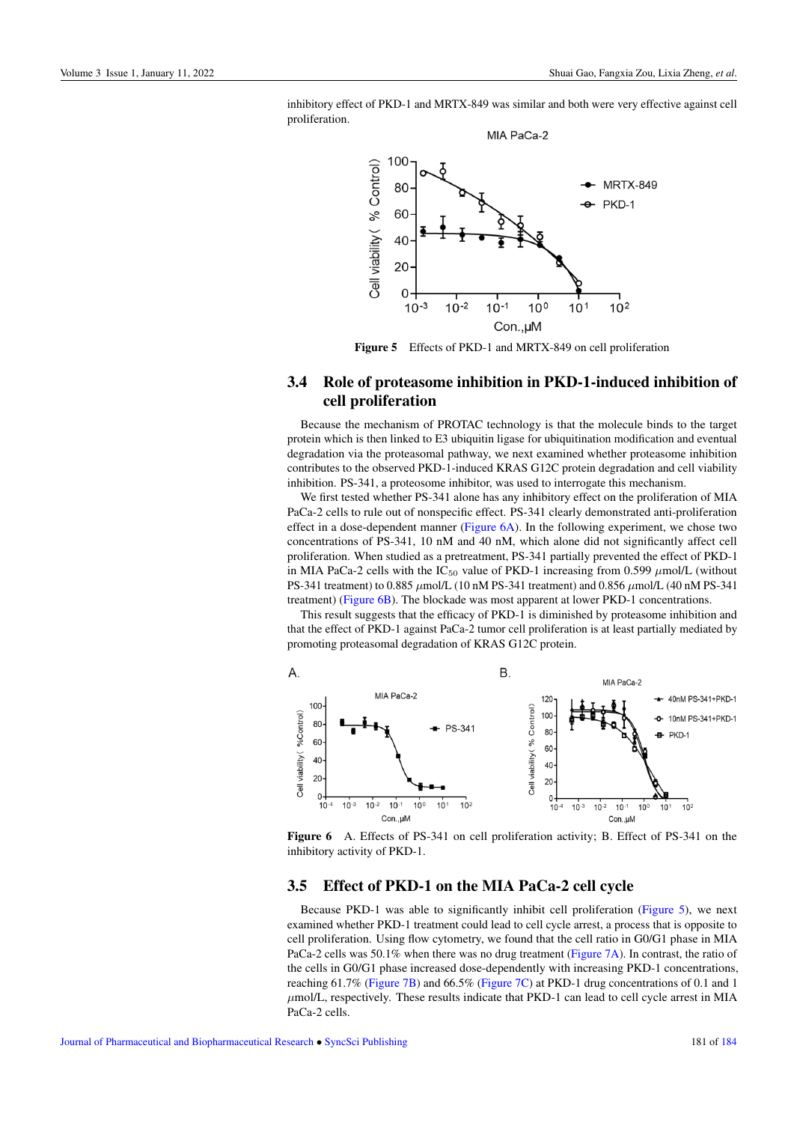<span id="page-5-0"></span>inhibitory effect of PKD-1 and MRTX-849 was similar and both were very effective against cell proliferation.



Figure 5 Effects of PKD-1 and MRTX-849 on cell proliferation

### 3.4 Role of proteasome inhibition in PKD-1-induced inhibition of cell proliferation

Because the mechanism of PROTAC technology is that the molecule binds to the target protein which is then linked to E3 ubiquitin ligase for ubiquitination modification and eventual degradation via the proteasomal pathway, we next examined whether proteasome inhibition contributes to the observed PKD-1-induced KRAS G12C protein degradation and cell viability inhibition. PS-341, a proteosome inhibitor, was used to interrogate this mechanism.

We first tested whether PS-341 alone has any inhibitory effect on the proliferation of MIA PaCa-2 cells to rule out of nonspecific effect. PS-341 clearly demonstrated anti-proliferation effect in a dose-dependent manner [\(Figure 6A\)](#page-5-1). In the following experiment, we chose two concentrations of PS-341, 10 nM and 40 nM, which alone did not significantly affect cell proliferation. When studied as a pretreatment, PS-341 partially prevented the effect of PKD-1 in MIA PaCa-2 cells with the IC<sub>50</sub> value of PKD-1 increasing from 0.599  $\mu$ mol/L (without PS-341 treatment) to 0.885  $\mu$ mol/L (10 nM PS-341 treatment) and 0.856  $\mu$ mol/L (40 nM PS-341 treatment) [\(Figure 6B\)](#page-5-1). The blockade was most apparent at lower PKD-1 concentrations.

This result suggests that the efficacy of PKD-1 is diminished by proteasome inhibition and that the effect of PKD-1 against PaCa-2 tumor cell proliferation is at least partially mediated by promoting proteasomal degradation of KRAS G12C protein.

<span id="page-5-1"></span>

Figure 6 A. Effects of PS-341 on cell proliferation activity; B. Effect of PS-341 on the inhibitory activity of PKD-1.

#### 3.5 Effect of PKD-1 on the MIA PaCa-2 cell cycle

Because PKD-1 was able to significantly inhibit cell proliferation [\(Figure 5\)](#page-5-0), we next examined whether PKD-1 treatment could lead to cell cycle arrest, a process that is opposite to cell proliferation. Using flow cytometry, we found that the cell ratio in G0/G1 phase in MIA PaCa-2 cells was 50.1% when there was no drug treatment [\(Figure 7A\)](#page-6-0). In contrast, the ratio of the cells in G0/G1 phase increased dose-dependently with increasing PKD-1 concentrations, reaching 61.7% [\(Figure 7B\)](#page-6-0) and 66.5% [\(Figure 7C\)](#page-6-0) at PKD-1 drug concentrations of 0.1 and 1  $\mu$ mol/L, respectively. These results indicate that PKD-1 can lead to cell cycle arrest in MIA PaCa-2 cells.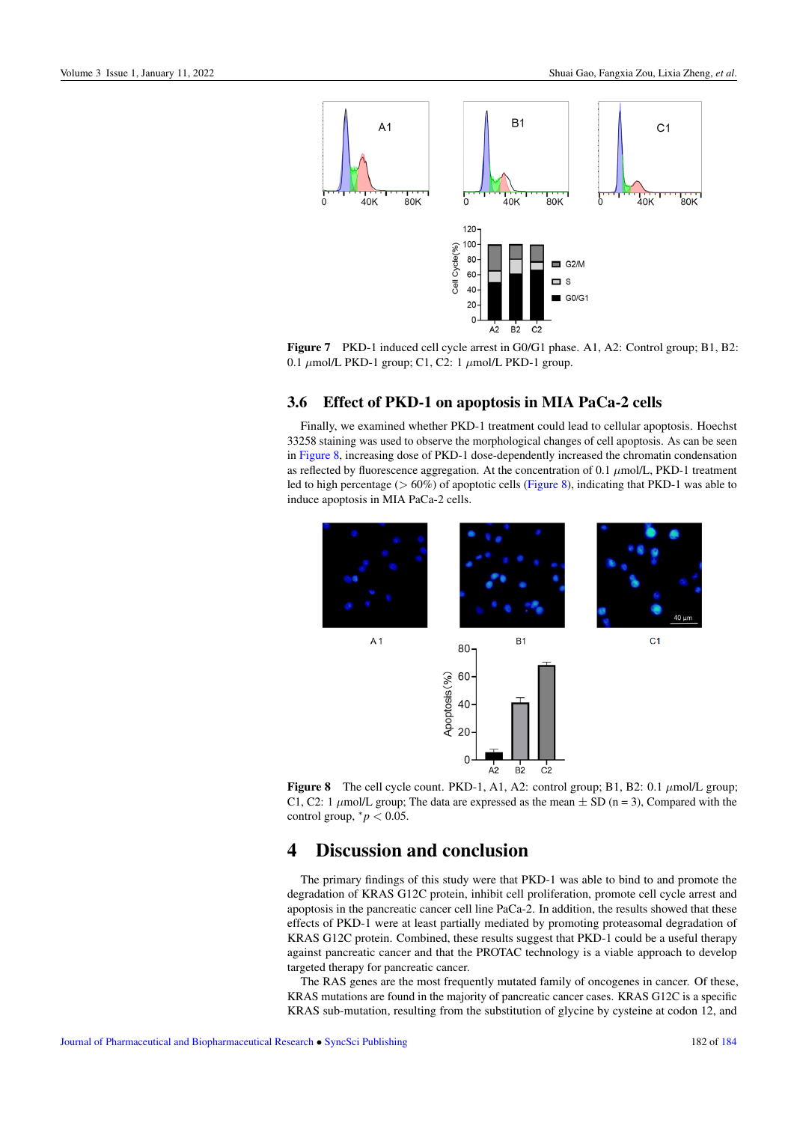<span id="page-6-0"></span>

Figure 7 PKD-1 induced cell cycle arrest in G0/G1 phase. A1, A2: Control group; B1, B2: 0.1  $\mu$ mol/L PKD-1 group; C1, C2: 1  $\mu$ mol/L PKD-1 group.

### 3.6 Effect of PKD-1 on apoptosis in MIA PaCa-2 cells

Finally, we examined whether PKD-1 treatment could lead to cellular apoptosis. Hoechst 33258 staining was used to observe the morphological changes of cell apoptosis. As can be seen in [Figure 8,](#page-6-1) increasing dose of PKD-1 dose-dependently increased the chromatin condensation as reflected by fluorescence aggregation. At the concentration of 0.1  $\mu$ mol/L, PKD-1 treatment led to high percentage ( $> 60\%$ ) of apoptotic cells [\(Figure 8\)](#page-6-1), indicating that PKD-1 was able to induce apoptosis in MIA PaCa-2 cells.

<span id="page-6-1"></span>

Figure 8 The cell cycle count. PKD-1, A1, A2: control group; B1, B2: 0.1  $\mu$ mol/L group; C1, C2: 1  $\mu$ mol/L group; The data are expressed as the mean  $\pm$  SD (n = 3), Compared with the control group,  $\degree p < 0.05$ .

# 4 Discussion and conclusion

The primary findings of this study were that PKD-1 was able to bind to and promote the degradation of KRAS G12C protein, inhibit cell proliferation, promote cell cycle arrest and apoptosis in the pancreatic cancer cell line PaCa-2. In addition, the results showed that these effects of PKD-1 were at least partially mediated by promoting proteasomal degradation of KRAS G12C protein. Combined, these results suggest that PKD-1 could be a useful therapy against pancreatic cancer and that the PROTAC technology is a viable approach to develop targeted therapy for pancreatic cancer.

The RAS genes are the most frequently mutated family of oncogenes in cancer. Of these, KRAS mutations are found in the majority of pancreatic cancer cases. KRAS G12C is a specific KRAS sub-mutation, resulting from the substitution of glycine by cysteine at codon 12, and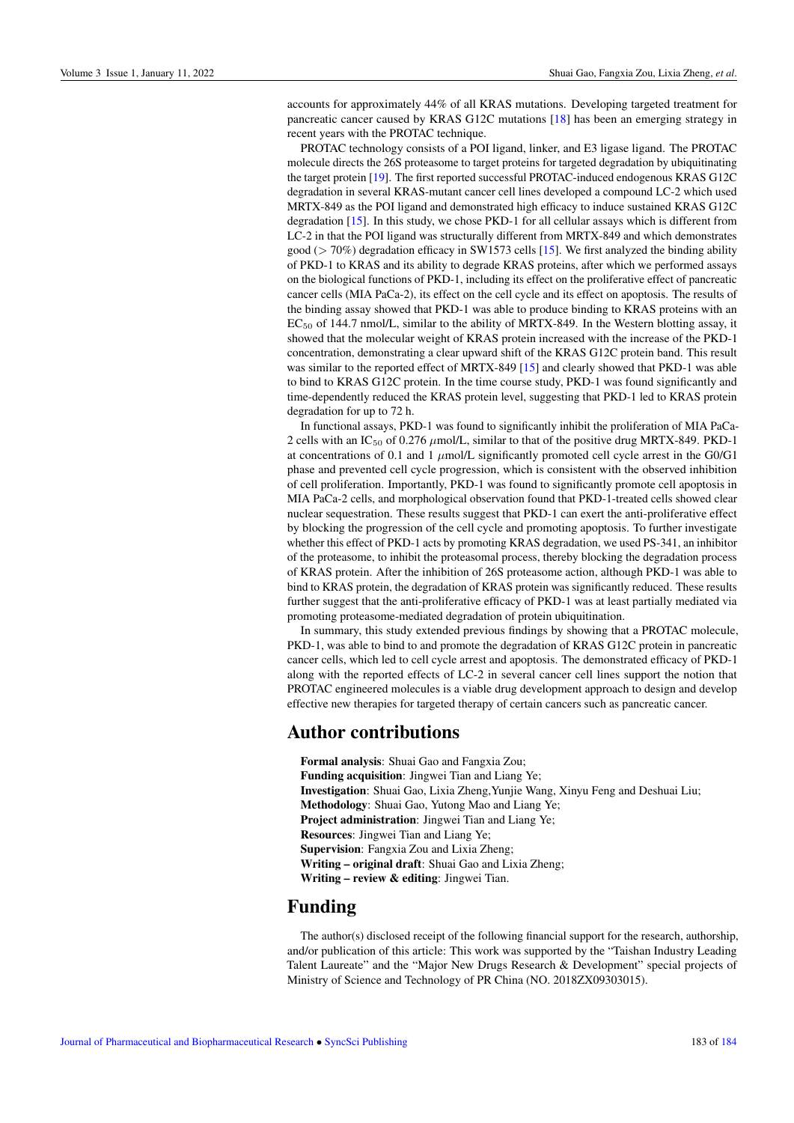accounts for approximately 44% of all KRAS mutations. Developing targeted treatment for pancreatic cancer caused by KRAS G12C mutations [\[18\]](#page-8-18) has been an emerging strategy in recent years with the PROTAC technique.

PROTAC technology consists of a POI ligand, linker, and E3 ligase ligand. The PROTAC molecule directs the 26S proteasome to target proteins for targeted degradation by ubiquitinating the target protein [\[19\]](#page-8-19). The first reported successful PROTAC-induced endogenous KRAS G12C degradation in several KRAS-mutant cancer cell lines developed a compound LC-2 which used MRTX-849 as the POI ligand and demonstrated high efficacy to induce sustained KRAS G12C degradation [\[15\]](#page-8-15). In this study, we chose PKD-1 for all cellular assays which is different from LC-2 in that the POI ligand was structurally different from MRTX-849 and which demonstrates good ( $>$  70%) degradation efficacy in SW1573 cells [\[15\]](#page-8-15). We first analyzed the binding ability of PKD-1 to KRAS and its ability to degrade KRAS proteins, after which we performed assays on the biological functions of PKD-1, including its effect on the proliferative effect of pancreatic cancer cells (MIA PaCa-2), its effect on the cell cycle and its effect on apoptosis. The results of the binding assay showed that PKD-1 was able to produce binding to KRAS proteins with an  $EC_{50}$  of 144.7 nmol/L, similar to the ability of MRTX-849. In the Western blotting assay, it showed that the molecular weight of KRAS protein increased with the increase of the PKD-1 concentration, demonstrating a clear upward shift of the KRAS G12C protein band. This result was similar to the reported effect of MRTX-849 [\[15\]](#page-8-15) and clearly showed that PKD-1 was able to bind to KRAS G12C protein. In the time course study, PKD-1 was found significantly and time-dependently reduced the KRAS protein level, suggesting that PKD-1 led to KRAS protein degradation for up to 72 h.

In functional assays, PKD-1 was found to significantly inhibit the proliferation of MIA PaCa-2 cells with an IC<sub>50</sub> of 0.276  $\mu$ mol/L, similar to that of the positive drug MRTX-849. PKD-1 at concentrations of 0.1 and 1  $\mu$ mol/L significantly promoted cell cycle arrest in the G0/G1 phase and prevented cell cycle progression, which is consistent with the observed inhibition of cell proliferation. Importantly, PKD-1 was found to significantly promote cell apoptosis in MIA PaCa-2 cells, and morphological observation found that PKD-1-treated cells showed clear nuclear sequestration. These results suggest that PKD-1 can exert the anti-proliferative effect by blocking the progression of the cell cycle and promoting apoptosis. To further investigate whether this effect of PKD-1 acts by promoting KRAS degradation, we used PS-341, an inhibitor of the proteasome, to inhibit the proteasomal process, thereby blocking the degradation process of KRAS protein. After the inhibition of 26S proteasome action, although PKD-1 was able to bind to KRAS protein, the degradation of KRAS protein was significantly reduced. These results further suggest that the anti-proliferative efficacy of PKD-1 was at least partially mediated via promoting proteasome-mediated degradation of protein ubiquitination.

In summary, this study extended previous findings by showing that a PROTAC molecule, PKD-1, was able to bind to and promote the degradation of KRAS G12C protein in pancreatic cancer cells, which led to cell cycle arrest and apoptosis. The demonstrated efficacy of PKD-1 along with the reported effects of LC-2 in several cancer cell lines support the notion that PROTAC engineered molecules is a viable drug development approach to design and develop effective new therapies for targeted therapy of certain cancers such as pancreatic cancer.

### Author contributions

Formal analysis: Shuai Gao and Fangxia Zou; Funding acquisition: Jingwei Tian and Liang Ye; Investigation: Shuai Gao, Lixia Zheng,Yunjie Wang, Xinyu Feng and Deshuai Liu; Methodology: Shuai Gao, Yutong Mao and Liang Ye; Project administration: Jingwei Tian and Liang Ye; Resources: Jingwei Tian and Liang Ye; Supervision: Fangxia Zou and Lixia Zheng; Writing – original draft: Shuai Gao and Lixia Zheng; Writing – review & editing: Jingwei Tian.

### Funding

The author(s) disclosed receipt of the following financial support for the research, authorship, and/or publication of this article: This work was supported by the "Taishan Industry Leading Talent Laureate" and the "Major New Drugs Research & Development" special projects of Ministry of Science and Technology of PR China (NO. 2018ZX09303015).